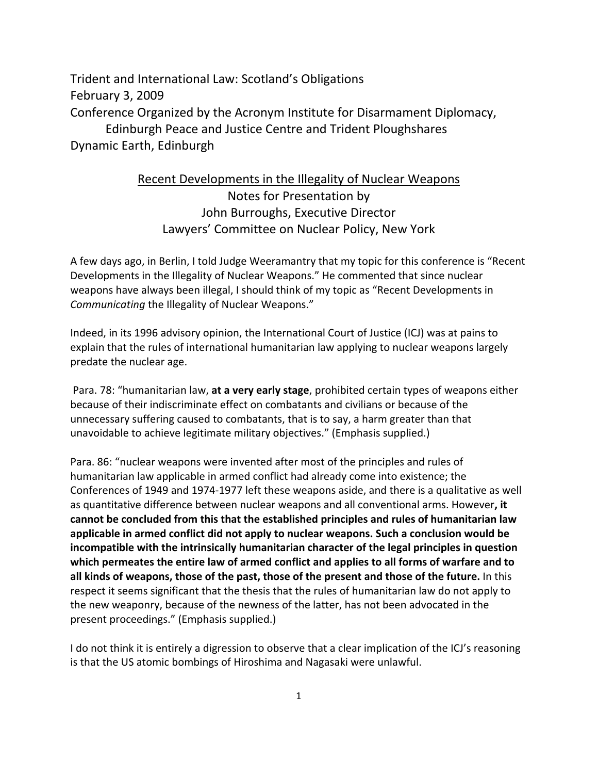Trident and International Law: Scotland's Obligations February 3, 2009 Conference Organized by the Acronym Institute for Disarmament Diplomacy, Edinburgh Peace and Justice Centre and Trident Ploughshares Dynamic Earth, Edinburgh

## Recent Developments in the Illegality of Nuclear Weapons Notes for Presentation by John Burroughs, Executive Director Lawyers' Committee on Nuclear Policy, New York

A few days ago, in Berlin, I told Judge Weeramantry that my topic for this conference is "Recent Developments in the Illegality of Nuclear Weapons." He commented that since nuclear weapons have always been illegal, I should think of my topic as "Recent Developments in *Communicating* the Illegality of Nuclear Weapons."

Indeed, in its 1996 advisory opinion, the International Court of Justice (ICJ) was at pains to explain that the rules of international humanitarian law applying to nuclear weapons largely predate the nuclear age.

 Para. 78: "humanitarian law, **at a very early stage**, prohibited certain types of weapons either because of their indiscriminate effect on combatants and civilians or because of the unnecessary suffering caused to combatants, that is to say, a harm greater than that unavoidable to achieve legitimate military objectives." (Emphasis supplied.)

Para. 86: "nuclear weapons were invented after most of the principles and rules of humanitarian law applicable in armed conflict had already come into existence; the Conferences of 1949 and 1974‐1977 left these weapons aside, and there is a qualitative as well as quantitative difference between nuclear weapons and all conventional arms. However**, it cannot be concluded from this that the established principles and rules of humanitarian law applicable in armed conflict did not apply to nuclear weapons. Such a conclusion would be incompatible with the intrinsically humanitarian character of the legal principles in question which permeates the entire law of armed conflict and applies to all forms of warfare and to all kinds of weapons, those of the past, those of the present and those of the future.** In this respect it seems significant that the thesis that the rules of humanitarian law do not apply to the new weaponry, because of the newness of the latter, has not been advocated in the present proceedings." (Emphasis supplied.)

I do not think it is entirely a digression to observe that a clear implication of the ICJ's reasoning is that the US atomic bombings of Hiroshima and Nagasaki were unlawful.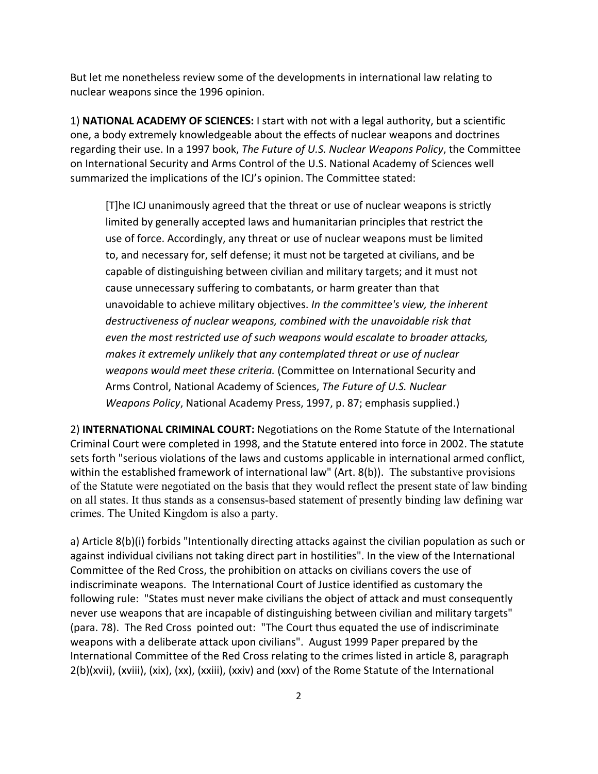But let me nonetheless review some of the developments in international law relating to nuclear weapons since the 1996 opinion.

1) **NATIONAL ACADEMY OF SCIENCES:** I start with not with a legal authority, but a scientific one, a body extremely knowledgeable about the effects of nuclear weapons and doctrines regarding their use. In a 1997 book, *The Future of U.S. Nuclear Weapons Policy*, the Committee on International Security and Arms Control of the U.S. National Academy of Sciences well summarized the implications of the ICJ's opinion. The Committee stated:

[T]he ICJ unanimously agreed that the threat or use of nuclear weapons is strictly limited by generally accepted laws and humanitarian principles that restrict the use of force. Accordingly, any threat or use of nuclear weapons must be limited to, and necessary for, self defense; it must not be targeted at civilians, and be capable of distinguishing between civilian and military targets; and it must not cause unnecessary suffering to combatants, or harm greater than that unavoidable to achieve military objectives. *In the committee's view, the inherent destructiveness of nuclear weapons, combined with the unavoidable risk that even the most restricted use of such weapons would escalate to broader attacks, makes it extremely unlikely that any contemplated threat or use of nuclear weapons would meet these criteria.* (Committee on International Security and Arms Control, National Academy of Sciences, *The Future of U.S. Nuclear Weapons Policy*, National Academy Press, 1997, p. 87; emphasis supplied.)

2) **INTERNATIONAL CRIMINAL COURT:** Negotiations on the Rome Statute of the International Criminal Court were completed in 1998, and the Statute entered into force in 2002. The statute sets forth "serious violations of the laws and customs applicable in international armed conflict, within the established framework of international law" (Art. 8(b)). The substantive provisions of the Statute were negotiated on the basis that they would reflect the present state of law binding on all states. It thus stands as a consensus-based statement of presently binding law defining war crimes. The United Kingdom is also a party.

a) Article 8(b)(i) forbids "Intentionally directing attacks against the civilian population as such or against individual civilians not taking direct part in hostilities". In the view of the International Committee of the Red Cross, the prohibition on attacks on civilians covers the use of indiscriminate weapons. The International Court of Justice identified as customary the following rule: "States must never make civilians the object of attack and must consequently never use weapons that are incapable of distinguishing between civilian and military targets" (para. 78). The Red Cross pointed out: "The Court thus equated the use of indiscriminate weapons with a deliberate attack upon civilians". August 1999 Paper prepared by the International Committee of the Red Cross relating to the crimes listed in article 8, paragraph 2(b)(xvii), (xviii), (xix), (xx), (xxiii), (xxiv) and (xxv) of the Rome Statute of the International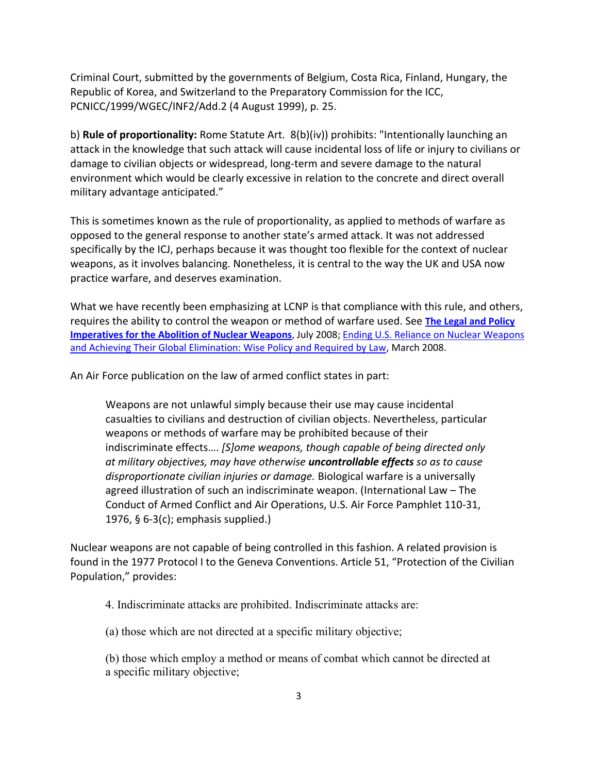Criminal Court, submitted by the governments of Belgium, Costa Rica, Finland, Hungary, the Republic of Korea, and Switzerland to the Preparatory Commission for the ICC, PCNICC/1999/WGEC/INF2/Add.2 (4 August 1999), p. 25.

b) **Rule of proportionality:** Rome Statute Art. 8(b)(iv)) prohibits: "Intentionally launching an attack in the knowledge that such attack will cause incidental loss of life or injury to civilians or damage to civilian objects or widespread, long‐term and severe damage to the natural environment which would be clearly excessive in relation to the concrete and direct overall military advantage anticipated."

This is sometimes known as the rule of proportionality, as applied to methods of warfare as opposed to the general response to another state's armed attack. It was not addressed specifically by the ICJ, perhaps because it was thought too flexible for the context of nuclear weapons, as it involves balancing. Nonetheless, it is central to the way the UK and USA now practice warfare, and deserves examination.

What we have recently been emphasizing at LCNP is that compliance with this rule, and others, requires the ability to control the weapon or method of warfare used. See **[The Legal and Policy](http://lcnp.org/disarmament/2008JulyLCNPshortstatement.pdf)  [Imperatives for the Abolition of Nuclear Weapons](http://lcnp.org/disarmament/2008JulyLCNPshortstatement.pdf)**, July 2008; [Ending U.S. Reliance on Nuclear Weapons](http://lcnp.org/disarmament/LCNPstatement2008.pdf)  [and Achieving Their Global Elimination: Wise Policy and Required by Law](http://lcnp.org/disarmament/LCNPstatement2008.pdf), March 2008.

An Air Force publication on the law of armed conflict states in part:

Weapons are not unlawful simply because their use may cause incidental casualties to civilians and destruction of civilian objects. Nevertheless, particular weapons or methods of warfare may be prohibited because of their indiscriminate effects…. *[S]ome weapons, though capable of being directed only at military objectives, may have otherwise uncontrollable effects so as to cause disproportionate civilian injuries or damage.* Biological warfare is a universally agreed illustration of such an indiscriminate weapon. (International Law – The Conduct of Armed Conflict and Air Operations, U.S. Air Force Pamphlet 110‐31, 1976, § 6‐3(c); emphasis supplied.)

Nuclear weapons are not capable of being controlled in this fashion. A related provision is found in the 1977 Protocol I to the Geneva Conventions. Article 51, "Protection of the Civilian Population," provides:

4. Indiscriminate attacks are prohibited. Indiscriminate attacks are:

(a) those which are not directed at a specific military objective;

(b) those which employ a method or means of combat which cannot be directed at a specific military objective;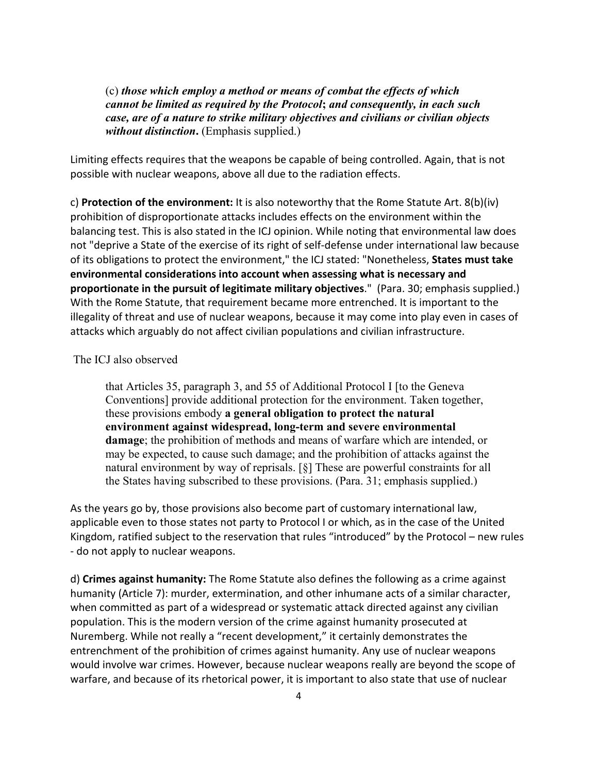(c) *those which employ a method or means of combat the effects of which cannot be limited as required by the Protocol***;** *and consequently, in each such case, are of a nature to strike military objectives and civilians or civilian objects without distinction***.** (Emphasis supplied.)

Limiting effects requires that the weapons be capable of being controlled. Again, that is not possible with nuclear weapons, above all due to the radiation effects.

c) **Protection of the environment:** It is also noteworthy that the Rome Statute Art. 8(b)(iv) prohibition of disproportionate attacks includes effects on the environment within the balancing test. This is also stated in the ICJ opinion. While noting that environmental law does not "deprive a State of the exercise of its right of self‐defense under international law because of its obligations to protect the environment," the ICJ stated: "Nonetheless, **States must take environmental considerations into account when assessing what is necessary and proportionate in the pursuit of legitimate military objectives**." (Para. 30; emphasis supplied.) With the Rome Statute, that requirement became more entrenched. It is important to the illegality of threat and use of nuclear weapons, because it may come into play even in cases of attacks which arguably do not affect civilian populations and civilian infrastructure.

## The ICJ also observed

that Articles 35, paragraph 3, and 55 of Additional Protocol I [to the Geneva Conventions] provide additional protection for the environment. Taken together, these provisions embody **a general obligation to protect the natural environment against widespread, long-term and severe environmental damage**; the prohibition of methods and means of warfare which are intended, or may be expected, to cause such damage; and the prohibition of attacks against the natural environment by way of reprisals. [§] These are powerful constraints for all the States having subscribed to these provisions. (Para. 31; emphasis supplied.)

As the years go by, those provisions also become part of customary international law, applicable even to those states not party to Protocol I or which, as in the case of the United Kingdom, ratified subject to the reservation that rules "introduced" by the Protocol – new rules ‐ do not apply to nuclear weapons.

d) **Crimes against humanity:** The Rome Statute also defines the following as a crime against humanity (Article 7): murder, extermination, and other inhumane acts of a similar character, when committed as part of a widespread or systematic attack directed against any civilian population. This is the modern version of the crime against humanity prosecuted at Nuremberg. While not really a "recent development," it certainly demonstrates the entrenchment of the prohibition of crimes against humanity. Any use of nuclear weapons would involve war crimes. However, because nuclear weapons really are beyond the scope of warfare, and because of its rhetorical power, it is important to also state that use of nuclear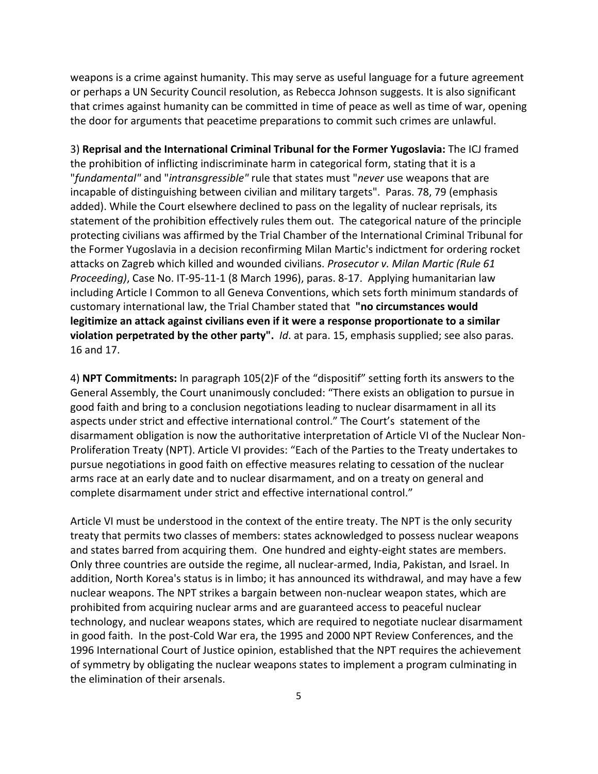weapons is a crime against humanity. This may serve as useful language for a future agreement or perhaps a UN Security Council resolution, as Rebecca Johnson suggests. It is also significant that crimes against humanity can be committed in time of peace as well as time of war, opening the door for arguments that peacetime preparations to commit such crimes are unlawful.

3) **Reprisal and the International Criminal Tribunal for the Former Yugoslavia:** The ICJ framed the prohibition of inflicting indiscriminate harm in categorical form, stating that it is a "*fundamental"* and "*intransgressible"* rule that states must "*never* use weapons that are incapable of distinguishing between civilian and military targets". Paras. 78, 79 (emphasis added). While the Court elsewhere declined to pass on the legality of nuclear reprisals, its statement of the prohibition effectively rules them out. The categorical nature of the principle protecting civilians was affirmed by the Trial Chamber of the International Criminal Tribunal for the Former Yugoslavia in a decision reconfirming Milan Martic's indictment for ordering rocket attacks on Zagreb which killed and wounded civilians. *Prosecutor v. Milan Martic (Rule 61 Proceeding)*, Case No. IT‐95‐11‐1 (8 March 1996), paras. 8‐17. Applying humanitarian law including Article I Common to all Geneva Conventions, which sets forth minimum standards of customary international law, the Trial Chamber stated that **"no circumstances would legitimize an attack against civilians even if it were a response proportionate to a similar violation perpetrated by the other party".** *Id*. at para. 15, emphasis supplied; see also paras. 16 and 17.

4) **NPT Commitments:** In paragraph 105(2)F of the "dispositif" setting forth its answers to the General Assembly, the Court unanimously concluded: "There exists an obligation to pursue in good faith and bring to a conclusion negotiations leading to nuclear disarmament in all its aspects under strict and effective international control." The Court's statement of the disarmament obligation is now the authoritative interpretation of Article VI of the Nuclear Non‐ Proliferation Treaty (NPT). Article VI provides: "Each of the Parties to the Treaty undertakes to pursue negotiations in good faith on effective measures relating to cessation of the nuclear arms race at an early date and to nuclear disarmament, and on a treaty on general and complete disarmament under strict and effective international control."

Article VI must be understood in the context of the entire treaty. The NPT is the only security treaty that permits two classes of members: states acknowledged to possess nuclear weapons and states barred from acquiring them. One hundred and eighty-eight states are members. Only three countries are outside the regime, all nuclear‐armed, India, Pakistan, and Israel. In addition, North Korea's status is in limbo; it has announced its withdrawal, and may have a few nuclear weapons. The NPT strikes a bargain between non‐nuclear weapon states, which are prohibited from acquiring nuclear arms and are guaranteed access to peaceful nuclear technology, and nuclear weapons states, which are required to negotiate nuclear disarmament in good faith. In the post‐Cold War era, the 1995 and 2000 NPT Review Conferences, and the 1996 International Court of Justice opinion, established that the NPT requires the achievement of symmetry by obligating the nuclear weapons states to implement a program culminating in the elimination of their arsenals.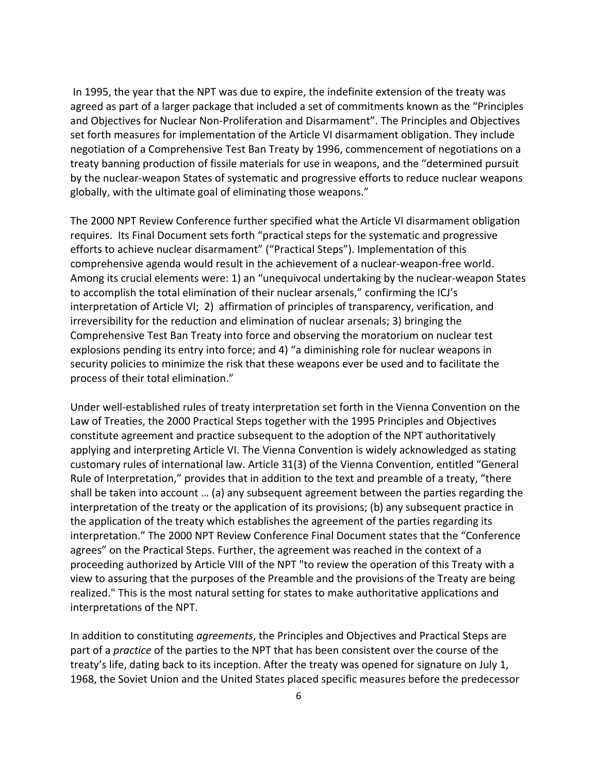In 1995, the year that the NPT was due to expire, the indefinite extension of the treaty was agreed as part of a larger package that included a set of commitments known as the "Principles and Objectives for Nuclear Non‐Proliferation and Disarmament". The Principles and Objectives set forth measures for implementation of the Article VI disarmament obligation. They include negotiation of a Comprehensive Test Ban Treaty by 1996, commencement of negotiations on a treaty banning production of fissile materials for use in weapons, and the "determined pursuit by the nuclear‐weapon States of systematic and progressive efforts to reduce nuclear weapons globally, with the ultimate goal of eliminating those weapons."

The 2000 NPT Review Conference further specified what the Article VI disarmament obligation requires. Its Final Document sets forth "practical steps for the systematic and progressive efforts to achieve nuclear disarmament" ("Practical Steps"). Implementation of this comprehensive agenda would result in the achievement of a nuclear‐weapon‐free world. Among its crucial elements were: 1) an "unequivocal undertaking by the nuclear‐weapon States to accomplish the total elimination of their nuclear arsenals," confirming the ICJ's interpretation of Article VI; 2) affirmation of principles of transparency, verification, and irreversibility for the reduction and elimination of nuclear arsenals; 3) bringing the Comprehensive Test Ban Treaty into force and observing the moratorium on nuclear test explosions pending its entry into force; and 4) "a diminishing role for nuclear weapons in security policies to minimize the risk that these weapons ever be used and to facilitate the process of their total elimination."

Under well‐established rules of treaty interpretation set forth in the Vienna Convention on the Law of Treaties, the 2000 Practical Steps together with the 1995 Principles and Objectives constitute agreement and practice subsequent to the adoption of the NPT authoritatively applying and interpreting Article VI. The Vienna Convention is widely acknowledged as stating customary rules of international law. Article 31(3) of the Vienna Convention, entitled "General Rule of Interpretation," provides that in addition to the text and preamble of a treaty, "there shall be taken into account … (a) any subsequent agreement between the parties regarding the interpretation of the treaty or the application of its provisions; (b) any subsequent practice in the application of the treaty which establishes the agreement of the parties regarding its interpretation." The 2000 NPT Review Conference Final Document states that the "Conference agrees" on the Practical Steps. Further, the agreement was reached in the context of a proceeding authorized by Article VIII of the NPT "to review the operation of this Treaty with a view to assuring that the purposes of the Preamble and the provisions of the Treaty are being realized." This is the most natural setting for states to make authoritative applications and interpretations of the NPT.

In addition to constituting *agreements*, the Principles and Objectives and Practical Steps are part of a *practice* of the parties to the NPT that has been consistent over the course of the treaty's life, dating back to its inception. After the treaty was opened for signature on July 1, 1968, the Soviet Union and the United States placed specific measures before the predecessor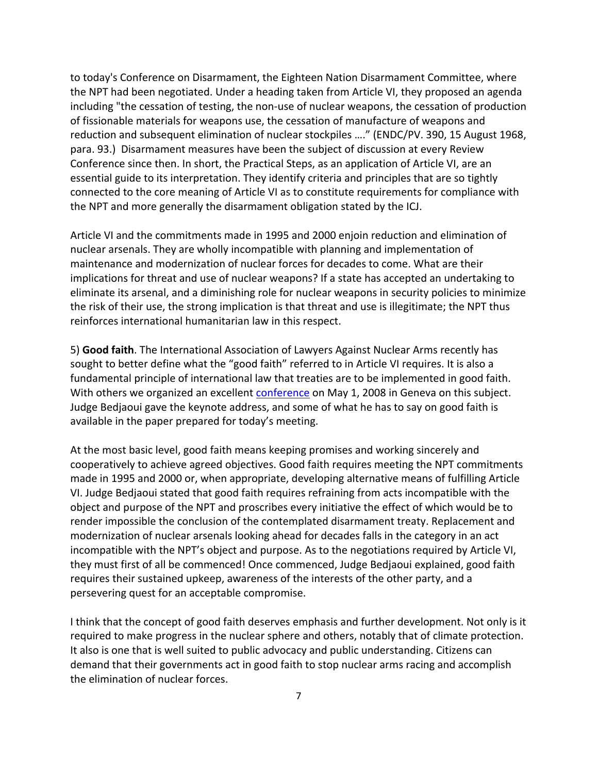to today's Conference on Disarmament, the Eighteen Nation Disarmament Committee, where the NPT had been negotiated. Under a heading taken from Article VI, they proposed an agenda including "the cessation of testing, the non-use of nuclear weapons, the cessation of production of fissionable materials for weapons use, the cessation of manufacture of weapons and reduction and subsequent elimination of nuclear stockpiles …." (ENDC/PV. 390, 15 August 1968, para. 93.) Disarmament measures have been the subject of discussion at every Review Conference since then. In short, the Practical Steps, as an application of Article VI, are an essential guide to its interpretation. They identify criteria and principles that are so tightly connected to the core meaning of Article VI as to constitute requirements for compliance with the NPT and more generally the disarmament obligation stated by the ICJ.

Article VI and the commitments made in 1995 and 2000 enjoin reduction and elimination of nuclear arsenals. They are wholly incompatible with planning and implementation of maintenance and modernization of nuclear forces for decades to come. What are their implications for threat and use of nuclear weapons? If a state has accepted an undertaking to eliminate its arsenal, and a diminishing role for nuclear weapons in security policies to minimize the risk of their use, the strong implication is that threat and use is illegitimate; the NPT thus reinforces international humanitarian law in this respect.

5) **Good faith**. The International Association of Lawyers Against Nuclear Arms recently has sought to better define what the "good faith" referred to in Article VI requires. It is also a fundamental principle of international law that treaties are to be implemented in good faith. With others we organized an excellent [conference](http://www.lcnp.org/wcourt/BurroughsNiRarticle_May2008.htm) on May 1, 2008 in Geneva on this subject. Judge Bedjaoui gave the keynote address, and some of what he has to say on good faith is available in the paper prepared for today's meeting.

At the most basic level, good faith means keeping promises and working sincerely and cooperatively to achieve agreed objectives. Good faith requires meeting the NPT commitments made in 1995 and 2000 or, when appropriate, developing alternative means of fulfilling Article VI. Judge Bedjaoui stated that good faith requires refraining from acts incompatible with the object and purpose of the NPT and proscribes every initiative the effect of which would be to render impossible the conclusion of the contemplated disarmament treaty. Replacement and modernization of nuclear arsenals looking ahead for decades falls in the category in an act incompatible with the NPT's object and purpose. As to the negotiations required by Article VI, they must first of all be commenced! Once commenced, Judge Bedjaoui explained, good faith requires their sustained upkeep, awareness of the interests of the other party, and a persevering quest for an acceptable compromise.

I think that the concept of good faith deserves emphasis and further development. Not only is it required to make progress in the nuclear sphere and others, notably that of climate protection. It also is one that is well suited to public advocacy and public understanding. Citizens can demand that their governments act in good faith to stop nuclear arms racing and accomplish the elimination of nuclear forces.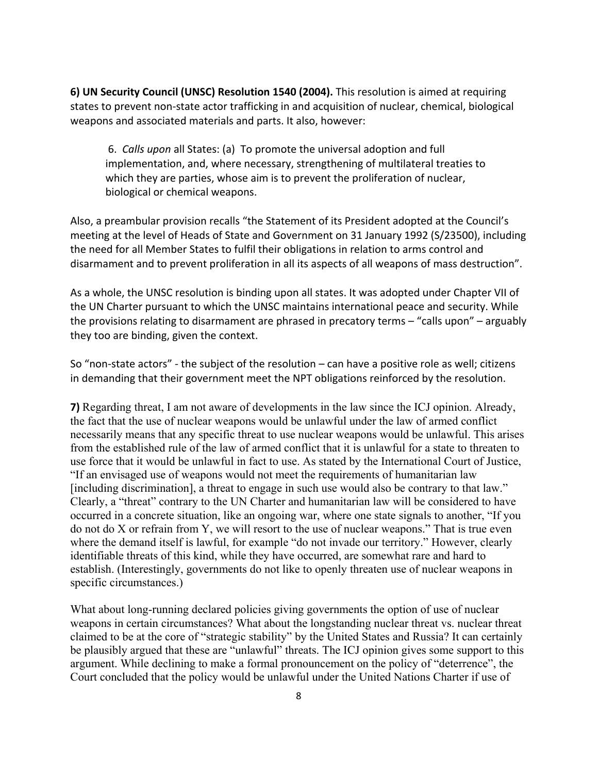**6) UN Security Council (UNSC) Resolution 1540 (2004).** This resolution is aimed at requiring states to prevent non‐state actor trafficking in and acquisition of nuclear, chemical, biological weapons and associated materials and parts. It also, however:

 6. *Calls upon* all States: (a) To promote the universal adoption and full implementation, and, where necessary, strengthening of multilateral treaties to which they are parties, whose aim is to prevent the proliferation of nuclear, biological or chemical weapons.

Also, a preambular provision recalls "the Statement of its President adopted at the Council's meeting at the level of Heads of State and Government on 31 January 1992 (S/23500), including the need for all Member States to fulfil their obligations in relation to arms control and disarmament and to prevent proliferation in all its aspects of all weapons of mass destruction".

As a whole, the UNSC resolution is binding upon all states. It was adopted under Chapter VII of the UN Charter pursuant to which the UNSC maintains international peace and security. While the provisions relating to disarmament are phrased in precatory terms – "calls upon" – arguably they too are binding, given the context.

So "non‐state actors" ‐ the subject of the resolution – can have a positive role as well; citizens in demanding that their government meet the NPT obligations reinforced by the resolution.

**7)** Regarding threat, I am not aware of developments in the law since the ICJ opinion. Already, the fact that the use of nuclear weapons would be unlawful under the law of armed conflict necessarily means that any specific threat to use nuclear weapons would be unlawful. This arises from the established rule of the law of armed conflict that it is unlawful for a state to threaten to use force that it would be unlawful in fact to use. As stated by the International Court of Justice, "If an envisaged use of weapons would not meet the requirements of humanitarian law [including discrimination], a threat to engage in such use would also be contrary to that law." Clearly, a "threat" contrary to the UN Charter and humanitarian law will be considered to have occurred in a concrete situation, like an ongoing war, where one state signals to another, "If you do not do X or refrain from Y, we will resort to the use of nuclear weapons." That is true even where the demand itself is lawful, for example "do not invade our territory." However, clearly identifiable threats of this kind, while they have occurred, are somewhat rare and hard to establish. (Interestingly, governments do not like to openly threaten use of nuclear weapons in specific circumstances.)

What about long-running declared policies giving governments the option of use of nuclear weapons in certain circumstances? What about the longstanding nuclear threat vs. nuclear threat claimed to be at the core of "strategic stability" by the United States and Russia? It can certainly be plausibly argued that these are "unlawful" threats. The ICJ opinion gives some support to this argument. While declining to make a formal pronouncement on the policy of "deterrence", the Court concluded that the policy would be unlawful under the United Nations Charter if use of